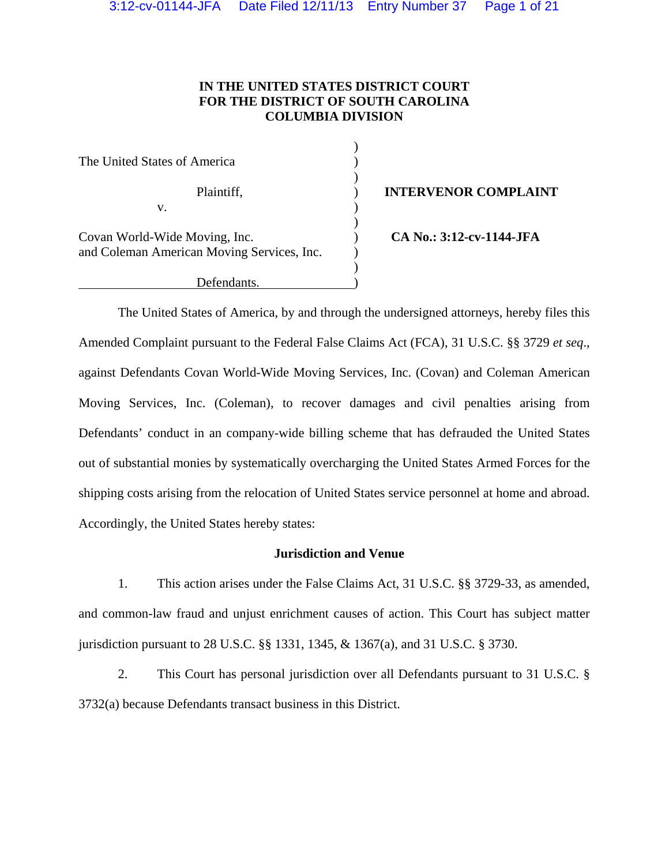# **IN THE UNITED STATES DISTRICT COURT FOR THE DISTRICT OF SOUTH CAROLINA COLUMBIA DIVISION**

| The United States of America               |  |
|--------------------------------------------|--|
| Plaintiff,                                 |  |
| V.                                         |  |
|                                            |  |
| Covan World-Wide Moving, Inc.              |  |
| and Coleman American Moving Services, Inc. |  |
|                                            |  |
| Defendants.                                |  |

**Plantiff INTERVENOR COMPLAINT** 

(a) CA No.: 3:12-cv-1144-JFA

The United States of America, by and through the undersigned attorneys, hereby files this Amended Complaint pursuant to the Federal False Claims Act (FCA), 31 U.S.C. §§ 3729 *et seq*., against Defendants Covan World-Wide Moving Services, Inc. (Covan) and Coleman American Moving Services, Inc. (Coleman), to recover damages and civil penalties arising from Defendants' conduct in an company-wide billing scheme that has defrauded the United States out of substantial monies by systematically overcharging the United States Armed Forces for the shipping costs arising from the relocation of United States service personnel at home and abroad. Accordingly, the United States hereby states:

# **Jurisdiction and Venue**

1. This action arises under the False Claims Act, 31 U.S.C. §§ 3729-33, as amended, and common-law fraud and unjust enrichment causes of action. This Court has subject matter jurisdiction pursuant to 28 U.S.C. §§ 1331, 1345, & 1367(a), and 31 U.S.C. § 3730.

2. This Court has personal jurisdiction over all Defendants pursuant to 31 U.S.C. § 3732(a) because Defendants transact business in this District.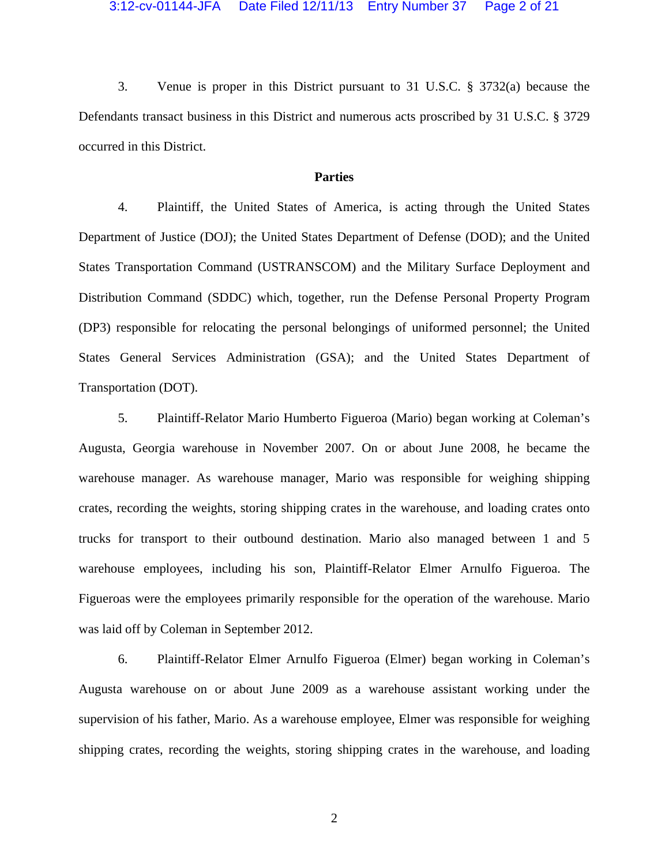#### 3:12-cv-01144-JFA Date Filed 12/11/13 Entry Number 37 Page 2 of 21

3. Venue is proper in this District pursuant to 31 U.S.C. § 3732(a) because the Defendants transact business in this District and numerous acts proscribed by 31 U.S.C. § 3729 occurred in this District.

### **Parties**

4. Plaintiff, the United States of America, is acting through the United States Department of Justice (DOJ); the United States Department of Defense (DOD); and the United States Transportation Command (USTRANSCOM) and the Military Surface Deployment and Distribution Command (SDDC) which, together, run the Defense Personal Property Program (DP3) responsible for relocating the personal belongings of uniformed personnel; the United States General Services Administration (GSA); and the United States Department of Transportation (DOT).

5. Plaintiff-Relator Mario Humberto Figueroa (Mario) began working at Coleman's Augusta, Georgia warehouse in November 2007. On or about June 2008, he became the warehouse manager. As warehouse manager, Mario was responsible for weighing shipping crates, recording the weights, storing shipping crates in the warehouse, and loading crates onto trucks for transport to their outbound destination. Mario also managed between 1 and 5 warehouse employees, including his son, Plaintiff-Relator Elmer Arnulfo Figueroa. The Figueroas were the employees primarily responsible for the operation of the warehouse. Mario was laid off by Coleman in September 2012.

6. Plaintiff-Relator Elmer Arnulfo Figueroa (Elmer) began working in Coleman's Augusta warehouse on or about June 2009 as a warehouse assistant working under the supervision of his father, Mario. As a warehouse employee, Elmer was responsible for weighing shipping crates, recording the weights, storing shipping crates in the warehouse, and loading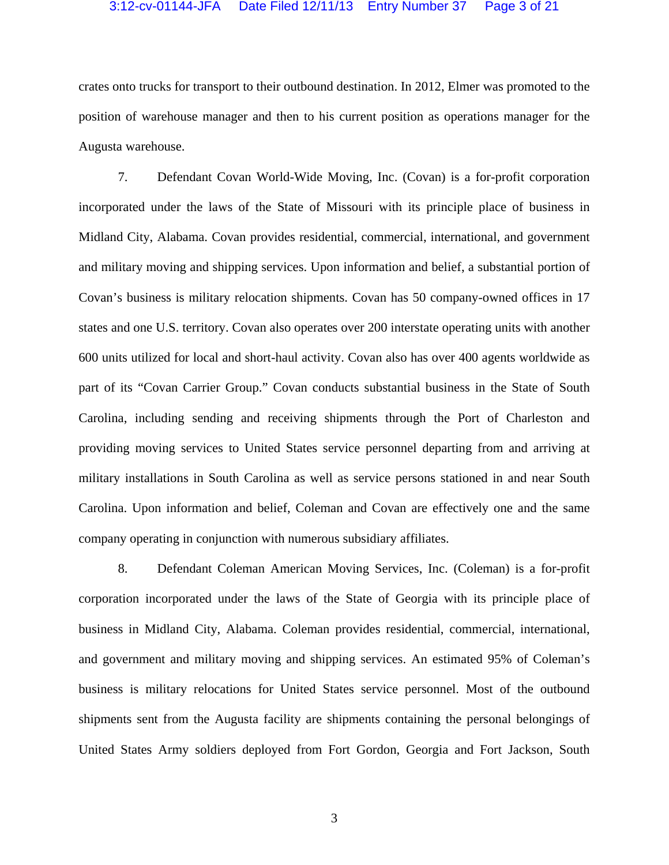### 3:12-cv-01144-JFA Date Filed 12/11/13 Entry Number 37 Page 3 of 21

crates onto trucks for transport to their outbound destination. In 2012, Elmer was promoted to the position of warehouse manager and then to his current position as operations manager for the Augusta warehouse.

7. Defendant Covan World-Wide Moving, Inc. (Covan) is a for-profit corporation incorporated under the laws of the State of Missouri with its principle place of business in Midland City, Alabama. Covan provides residential, commercial, international, and government and military moving and shipping services. Upon information and belief, a substantial portion of Covan's business is military relocation shipments. Covan has 50 company-owned offices in 17 states and one U.S. territory. Covan also operates over 200 interstate operating units with another 600 units utilized for local and short-haul activity. Covan also has over 400 agents worldwide as part of its "Covan Carrier Group." Covan conducts substantial business in the State of South Carolina, including sending and receiving shipments through the Port of Charleston and providing moving services to United States service personnel departing from and arriving at military installations in South Carolina as well as service persons stationed in and near South Carolina. Upon information and belief, Coleman and Covan are effectively one and the same company operating in conjunction with numerous subsidiary affiliates.

8. Defendant Coleman American Moving Services, Inc. (Coleman) is a for-profit corporation incorporated under the laws of the State of Georgia with its principle place of business in Midland City, Alabama. Coleman provides residential, commercial, international, and government and military moving and shipping services. An estimated 95% of Coleman's business is military relocations for United States service personnel. Most of the outbound shipments sent from the Augusta facility are shipments containing the personal belongings of United States Army soldiers deployed from Fort Gordon, Georgia and Fort Jackson, South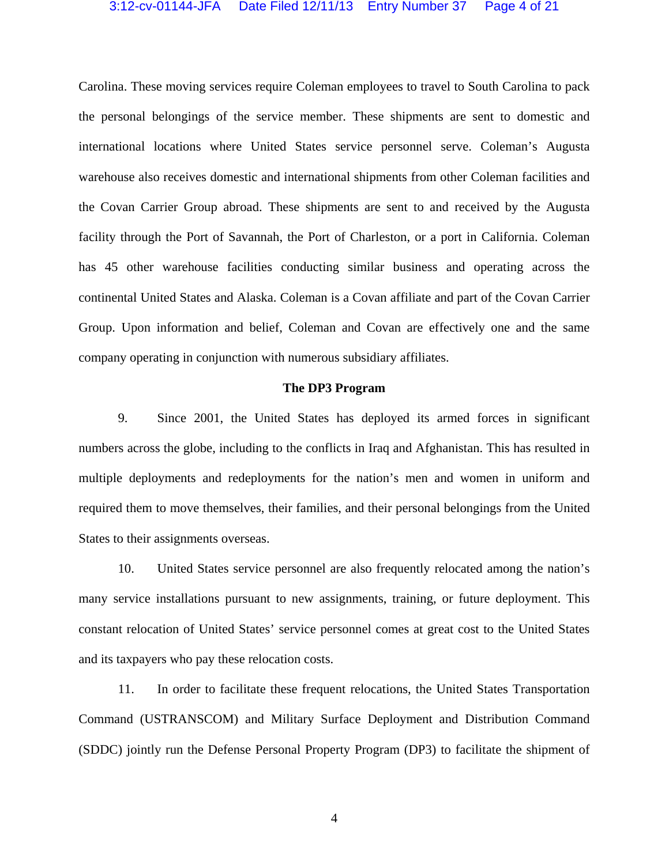# 3:12-cv-01144-JFA Date Filed 12/11/13 Entry Number 37 Page 4 of 21

Carolina. These moving services require Coleman employees to travel to South Carolina to pack the personal belongings of the service member. These shipments are sent to domestic and international locations where United States service personnel serve. Coleman's Augusta warehouse also receives domestic and international shipments from other Coleman facilities and the Covan Carrier Group abroad. These shipments are sent to and received by the Augusta facility through the Port of Savannah, the Port of Charleston, or a port in California. Coleman has 45 other warehouse facilities conducting similar business and operating across the continental United States and Alaska. Coleman is a Covan affiliate and part of the Covan Carrier Group. Upon information and belief, Coleman and Covan are effectively one and the same company operating in conjunction with numerous subsidiary affiliates.

### **The DP3 Program**

9. Since 2001, the United States has deployed its armed forces in significant numbers across the globe, including to the conflicts in Iraq and Afghanistan. This has resulted in multiple deployments and redeployments for the nation's men and women in uniform and required them to move themselves, their families, and their personal belongings from the United States to their assignments overseas.

10. United States service personnel are also frequently relocated among the nation's many service installations pursuant to new assignments, training, or future deployment. This constant relocation of United States' service personnel comes at great cost to the United States and its taxpayers who pay these relocation costs.

11. In order to facilitate these frequent relocations, the United States Transportation Command (USTRANSCOM) and Military Surface Deployment and Distribution Command (SDDC) jointly run the Defense Personal Property Program (DP3) to facilitate the shipment of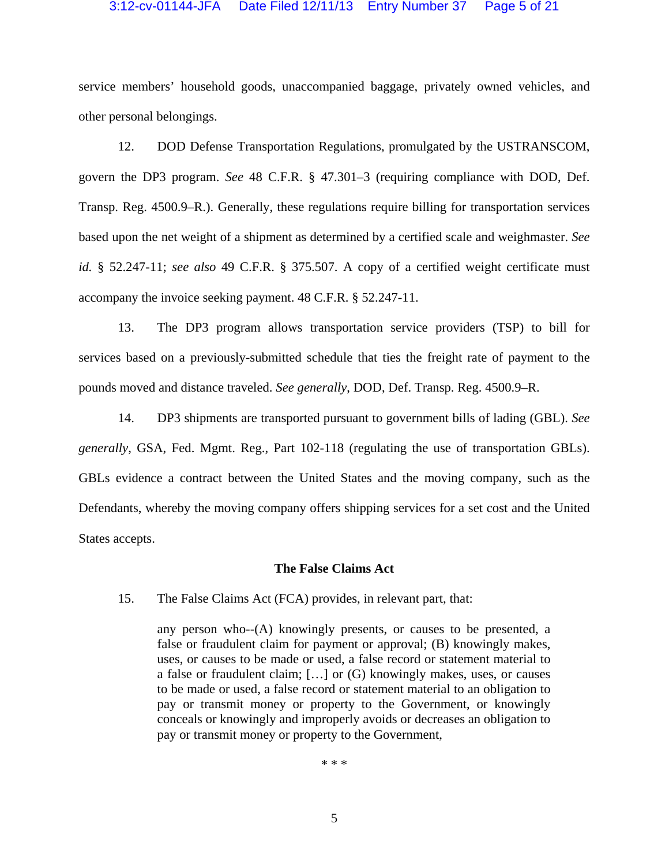### 3:12-cv-01144-JFA Date Filed 12/11/13 Entry Number 37 Page 5 of 21

service members' household goods, unaccompanied baggage, privately owned vehicles, and other personal belongings.

12. DOD Defense Transportation Regulations, promulgated by the USTRANSCOM, govern the DP3 program. *See* 48 C.F.R. § 47.301–3 (requiring compliance with DOD, Def. Transp. Reg. 4500.9–R.). Generally, these regulations require billing for transportation services based upon the net weight of a shipment as determined by a certified scale and weighmaster. *See id.* § 52.247-11; *see also* 49 C.F.R. § 375.507. A copy of a certified weight certificate must accompany the invoice seeking payment. 48 C.F.R. § 52.247-11.

13. The DP3 program allows transportation service providers (TSP) to bill for services based on a previously-submitted schedule that ties the freight rate of payment to the pounds moved and distance traveled. *See generally*, DOD, Def. Transp. Reg. 4500.9–R.

14. DP3 shipments are transported pursuant to government bills of lading (GBL). *See generally*, GSA, Fed. Mgmt. Reg., Part 102-118 (regulating the use of transportation GBLs). GBLs evidence a contract between the United States and the moving company, such as the Defendants, whereby the moving company offers shipping services for a set cost and the United States accepts.

#### **The False Claims Act**

15. The False Claims Act (FCA) provides, in relevant part, that:

any person who--(A) knowingly presents, or causes to be presented, a false or fraudulent claim for payment or approval; (B) knowingly makes, uses, or causes to be made or used, a false record or statement material to a false or fraudulent claim; […] or (G) knowingly makes, uses, or causes to be made or used, a false record or statement material to an obligation to pay or transmit money or property to the Government, or knowingly conceals or knowingly and improperly avoids or decreases an obligation to pay or transmit money or property to the Government,

\* \* \*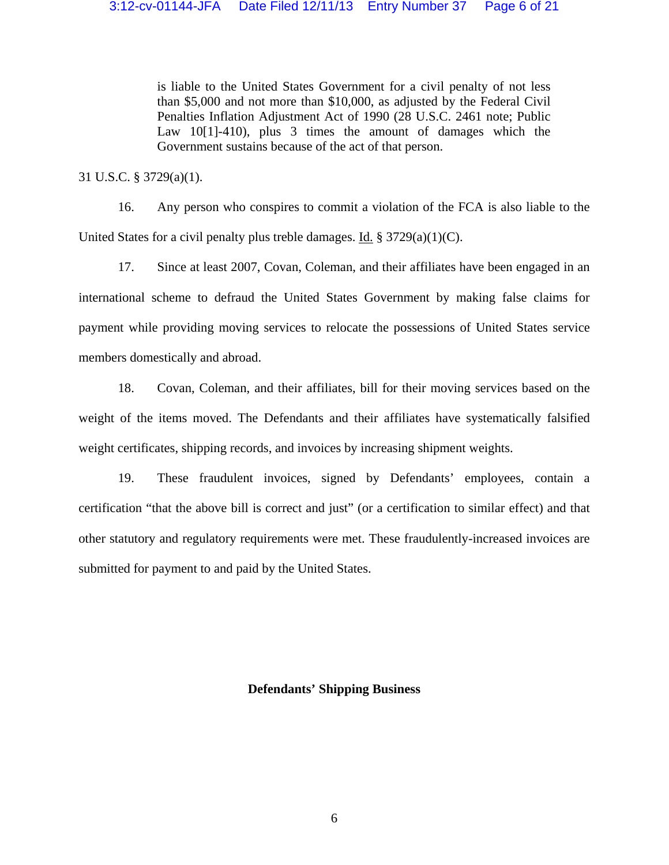is liable to the United States Government for a civil penalty of not less than \$5,000 and not more than \$10,000, as adjusted by the Federal Civil Penalties Inflation Adjustment Act of 1990 (28 U.S.C. 2461 note; Public Law 10[1]-410), plus 3 times the amount of damages which the Government sustains because of the act of that person.

31 U.S.C. § 3729(a)(1).

16. Any person who conspires to commit a violation of the FCA is also liable to the United States for a civil penalty plus treble damages. Id.  $\S 3729(a)(1)(C)$ .

17. Since at least 2007, Covan, Coleman, and their affiliates have been engaged in an international scheme to defraud the United States Government by making false claims for payment while providing moving services to relocate the possessions of United States service members domestically and abroad.

18. Covan, Coleman, and their affiliates, bill for their moving services based on the weight of the items moved. The Defendants and their affiliates have systematically falsified weight certificates, shipping records, and invoices by increasing shipment weights.

19. These fraudulent invoices, signed by Defendants' employees, contain a certification "that the above bill is correct and just" (or a certification to similar effect) and that other statutory and regulatory requirements were met. These fraudulently-increased invoices are submitted for payment to and paid by the United States.

### **Defendants' Shipping Business**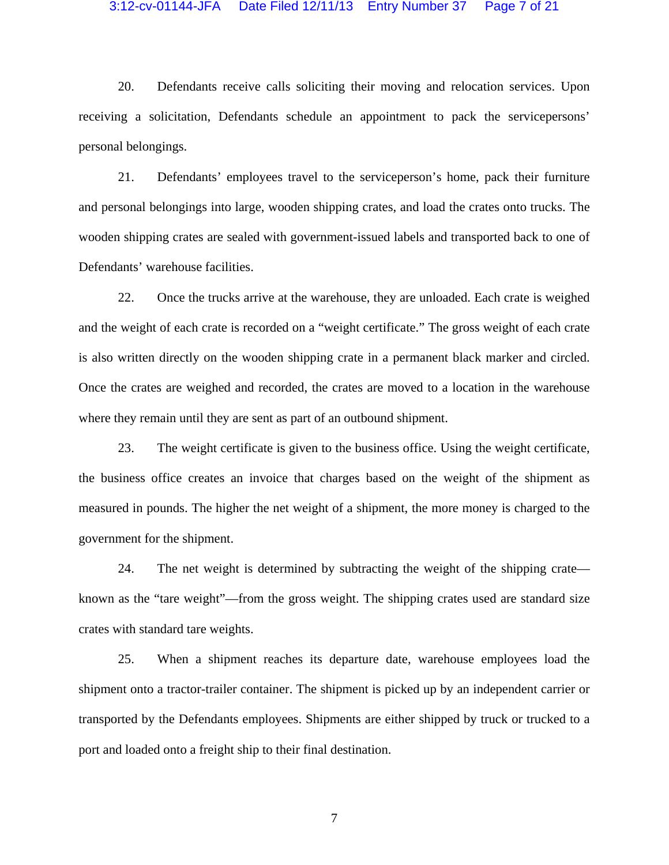### 3:12-cv-01144-JFA Date Filed 12/11/13 Entry Number 37 Page 7 of 21

20. Defendants receive calls soliciting their moving and relocation services. Upon receiving a solicitation, Defendants schedule an appointment to pack the servicepersons' personal belongings.

21. Defendants' employees travel to the serviceperson's home, pack their furniture and personal belongings into large, wooden shipping crates, and load the crates onto trucks. The wooden shipping crates are sealed with government-issued labels and transported back to one of Defendants' warehouse facilities.

22. Once the trucks arrive at the warehouse, they are unloaded. Each crate is weighed and the weight of each crate is recorded on a "weight certificate." The gross weight of each crate is also written directly on the wooden shipping crate in a permanent black marker and circled. Once the crates are weighed and recorded, the crates are moved to a location in the warehouse where they remain until they are sent as part of an outbound shipment.

23. The weight certificate is given to the business office. Using the weight certificate, the business office creates an invoice that charges based on the weight of the shipment as measured in pounds. The higher the net weight of a shipment, the more money is charged to the government for the shipment.

24. The net weight is determined by subtracting the weight of the shipping crate known as the "tare weight"—from the gross weight. The shipping crates used are standard size crates with standard tare weights.

25. When a shipment reaches its departure date, warehouse employees load the shipment onto a tractor-trailer container. The shipment is picked up by an independent carrier or transported by the Defendants employees. Shipments are either shipped by truck or trucked to a port and loaded onto a freight ship to their final destination.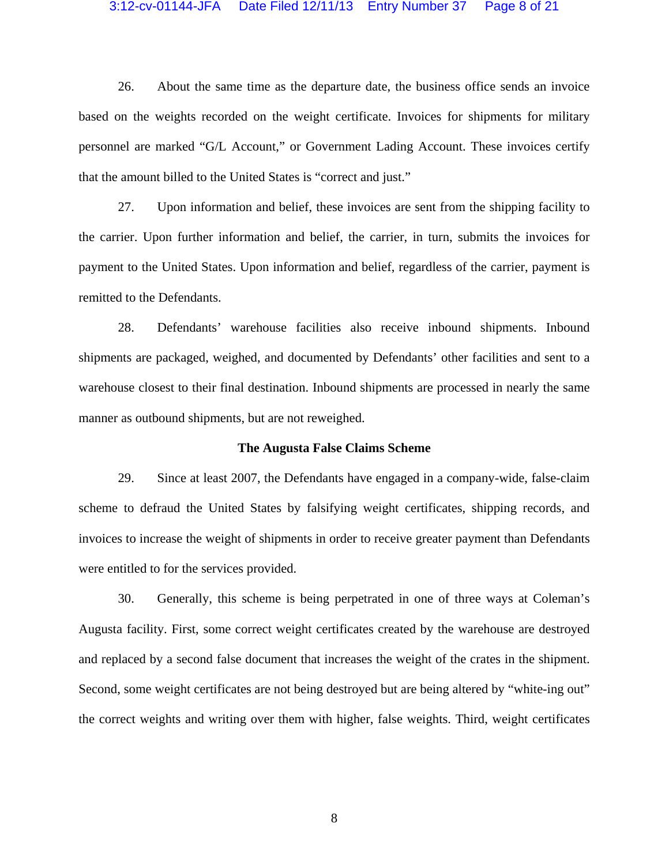#### 3:12-cv-01144-JFA Date Filed 12/11/13 Entry Number 37 Page 8 of 21

26. About the same time as the departure date, the business office sends an invoice based on the weights recorded on the weight certificate. Invoices for shipments for military personnel are marked "G/L Account," or Government Lading Account. These invoices certify that the amount billed to the United States is "correct and just."

27. Upon information and belief, these invoices are sent from the shipping facility to the carrier. Upon further information and belief, the carrier, in turn, submits the invoices for payment to the United States. Upon information and belief, regardless of the carrier, payment is remitted to the Defendants.

28. Defendants' warehouse facilities also receive inbound shipments. Inbound shipments are packaged, weighed, and documented by Defendants' other facilities and sent to a warehouse closest to their final destination. Inbound shipments are processed in nearly the same manner as outbound shipments, but are not reweighed.

#### **The Augusta False Claims Scheme**

29. Since at least 2007, the Defendants have engaged in a company-wide, false-claim scheme to defraud the United States by falsifying weight certificates, shipping records, and invoices to increase the weight of shipments in order to receive greater payment than Defendants were entitled to for the services provided.

30. Generally, this scheme is being perpetrated in one of three ways at Coleman's Augusta facility. First, some correct weight certificates created by the warehouse are destroyed and replaced by a second false document that increases the weight of the crates in the shipment. Second, some weight certificates are not being destroyed but are being altered by "white-ing out" the correct weights and writing over them with higher, false weights. Third, weight certificates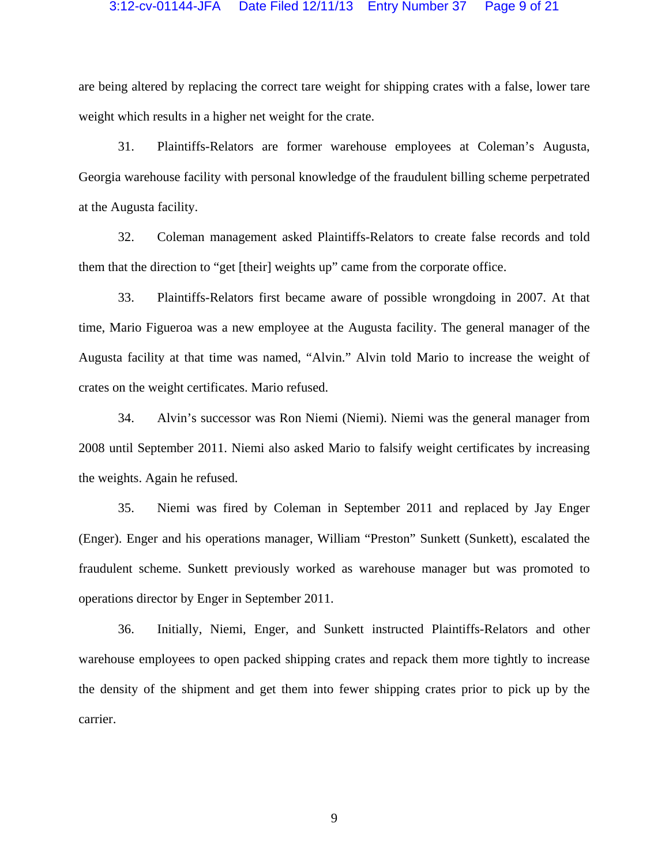### 3:12-cv-01144-JFA Date Filed 12/11/13 Entry Number 37 Page 9 of 21

are being altered by replacing the correct tare weight for shipping crates with a false, lower tare weight which results in a higher net weight for the crate.

31. Plaintiffs-Relators are former warehouse employees at Coleman's Augusta, Georgia warehouse facility with personal knowledge of the fraudulent billing scheme perpetrated at the Augusta facility.

32. Coleman management asked Plaintiffs-Relators to create false records and told them that the direction to "get [their] weights up" came from the corporate office.

33. Plaintiffs-Relators first became aware of possible wrongdoing in 2007. At that time, Mario Figueroa was a new employee at the Augusta facility. The general manager of the Augusta facility at that time was named, "Alvin." Alvin told Mario to increase the weight of crates on the weight certificates. Mario refused.

34. Alvin's successor was Ron Niemi (Niemi). Niemi was the general manager from 2008 until September 2011. Niemi also asked Mario to falsify weight certificates by increasing the weights. Again he refused.

35. Niemi was fired by Coleman in September 2011 and replaced by Jay Enger (Enger). Enger and his operations manager, William "Preston" Sunkett (Sunkett), escalated the fraudulent scheme. Sunkett previously worked as warehouse manager but was promoted to operations director by Enger in September 2011.

36. Initially, Niemi, Enger, and Sunkett instructed Plaintiffs-Relators and other warehouse employees to open packed shipping crates and repack them more tightly to increase the density of the shipment and get them into fewer shipping crates prior to pick up by the carrier.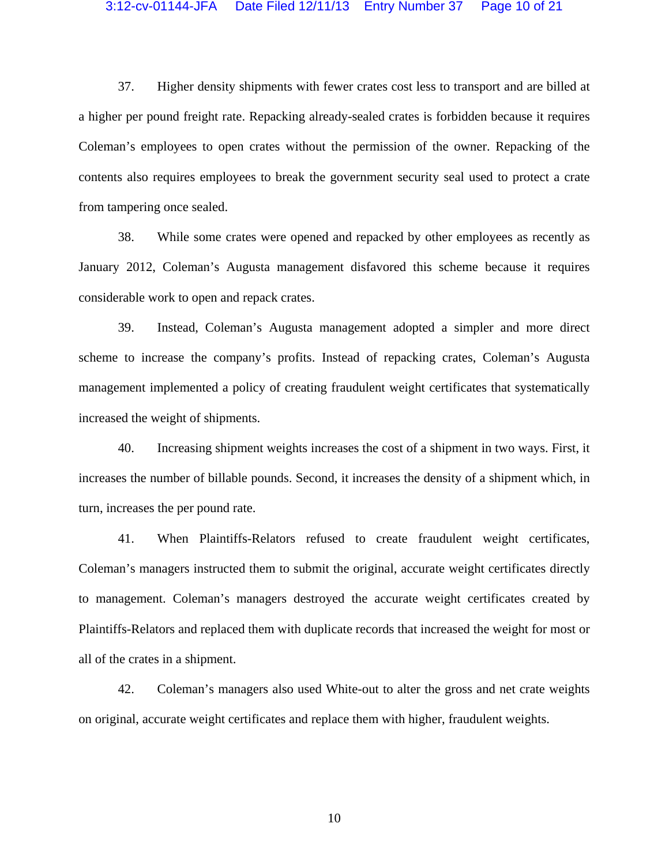# 3:12-cv-01144-JFA Date Filed 12/11/13 Entry Number 37 Page 10 of 21

37. Higher density shipments with fewer crates cost less to transport and are billed at a higher per pound freight rate. Repacking already-sealed crates is forbidden because it requires Coleman's employees to open crates without the permission of the owner. Repacking of the contents also requires employees to break the government security seal used to protect a crate from tampering once sealed.

38. While some crates were opened and repacked by other employees as recently as January 2012, Coleman's Augusta management disfavored this scheme because it requires considerable work to open and repack crates.

39. Instead, Coleman's Augusta management adopted a simpler and more direct scheme to increase the company's profits. Instead of repacking crates, Coleman's Augusta management implemented a policy of creating fraudulent weight certificates that systematically increased the weight of shipments.

40. Increasing shipment weights increases the cost of a shipment in two ways. First, it increases the number of billable pounds. Second, it increases the density of a shipment which, in turn, increases the per pound rate.

41. When Plaintiffs-Relators refused to create fraudulent weight certificates, Coleman's managers instructed them to submit the original, accurate weight certificates directly to management. Coleman's managers destroyed the accurate weight certificates created by Plaintiffs-Relators and replaced them with duplicate records that increased the weight for most or all of the crates in a shipment.

42. Coleman's managers also used White-out to alter the gross and net crate weights on original, accurate weight certificates and replace them with higher, fraudulent weights.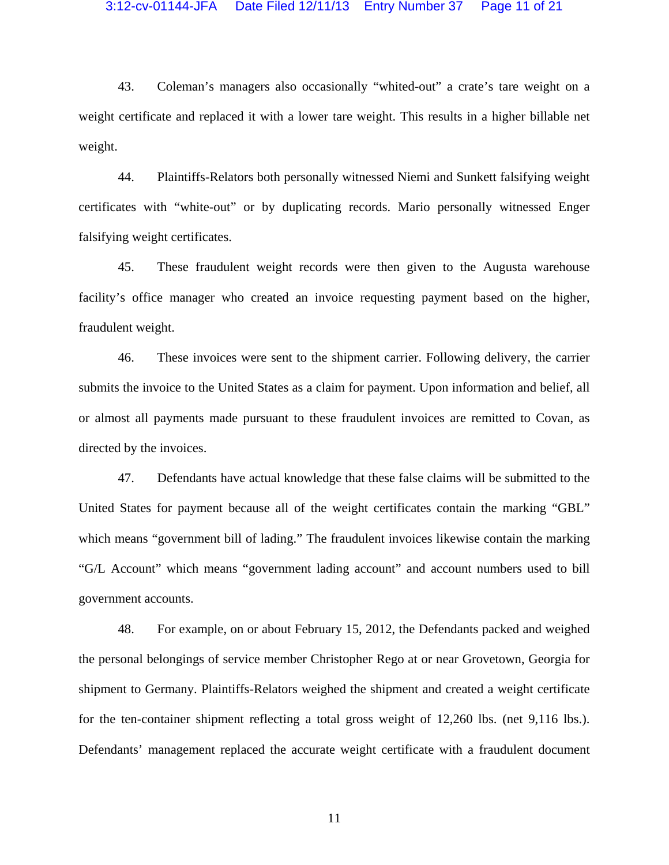#### 3:12-cv-01144-JFA Date Filed 12/11/13 Entry Number 37 Page 11 of 21

43. Coleman's managers also occasionally "whited-out" a crate's tare weight on a weight certificate and replaced it with a lower tare weight. This results in a higher billable net weight.

44. Plaintiffs-Relators both personally witnessed Niemi and Sunkett falsifying weight certificates with "white-out" or by duplicating records. Mario personally witnessed Enger falsifying weight certificates.

45. These fraudulent weight records were then given to the Augusta warehouse facility's office manager who created an invoice requesting payment based on the higher, fraudulent weight.

46. These invoices were sent to the shipment carrier. Following delivery, the carrier submits the invoice to the United States as a claim for payment. Upon information and belief, all or almost all payments made pursuant to these fraudulent invoices are remitted to Covan, as directed by the invoices.

47. Defendants have actual knowledge that these false claims will be submitted to the United States for payment because all of the weight certificates contain the marking "GBL" which means "government bill of lading." The fraudulent invoices likewise contain the marking "G/L Account" which means "government lading account" and account numbers used to bill government accounts.

48. For example, on or about February 15, 2012, the Defendants packed and weighed the personal belongings of service member Christopher Rego at or near Grovetown, Georgia for shipment to Germany. Plaintiffs-Relators weighed the shipment and created a weight certificate for the ten-container shipment reflecting a total gross weight of 12,260 lbs. (net 9,116 lbs.). Defendants' management replaced the accurate weight certificate with a fraudulent document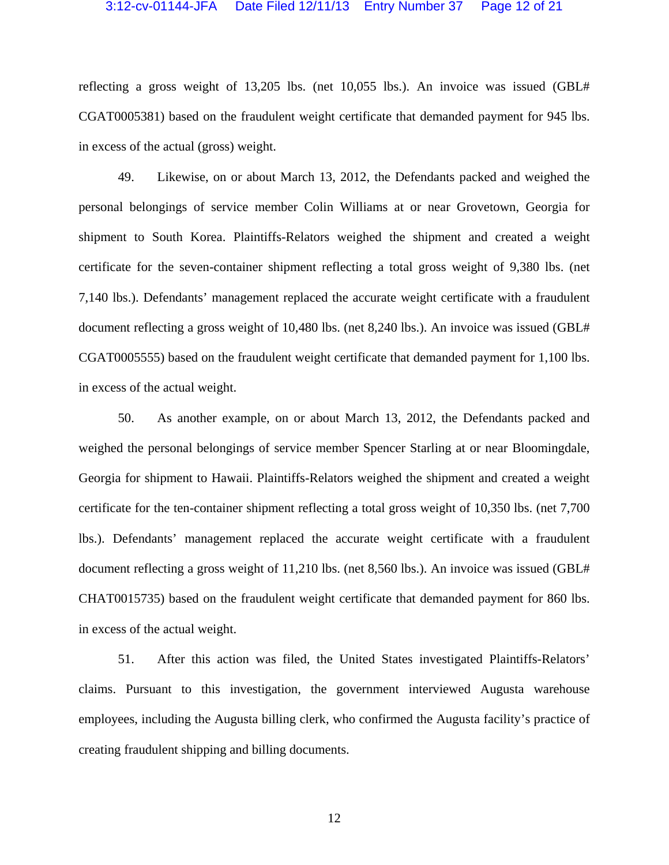#### 3:12-cv-01144-JFA Date Filed 12/11/13 Entry Number 37 Page 12 of 21

reflecting a gross weight of 13,205 lbs. (net 10,055 lbs.). An invoice was issued (GBL# CGAT0005381) based on the fraudulent weight certificate that demanded payment for 945 lbs. in excess of the actual (gross) weight.

49. Likewise, on or about March 13, 2012, the Defendants packed and weighed the personal belongings of service member Colin Williams at or near Grovetown, Georgia for shipment to South Korea. Plaintiffs-Relators weighed the shipment and created a weight certificate for the seven-container shipment reflecting a total gross weight of 9,380 lbs. (net 7,140 lbs.). Defendants' management replaced the accurate weight certificate with a fraudulent document reflecting a gross weight of 10,480 lbs. (net 8,240 lbs.). An invoice was issued (GBL# CGAT0005555) based on the fraudulent weight certificate that demanded payment for 1,100 lbs. in excess of the actual weight.

50. As another example, on or about March 13, 2012, the Defendants packed and weighed the personal belongings of service member Spencer Starling at or near Bloomingdale, Georgia for shipment to Hawaii. Plaintiffs-Relators weighed the shipment and created a weight certificate for the ten-container shipment reflecting a total gross weight of 10,350 lbs. (net 7,700 lbs.). Defendants' management replaced the accurate weight certificate with a fraudulent document reflecting a gross weight of 11,210 lbs. (net 8,560 lbs.). An invoice was issued (GBL# CHAT0015735) based on the fraudulent weight certificate that demanded payment for 860 lbs. in excess of the actual weight.

51. After this action was filed, the United States investigated Plaintiffs-Relators' claims. Pursuant to this investigation, the government interviewed Augusta warehouse employees, including the Augusta billing clerk, who confirmed the Augusta facility's practice of creating fraudulent shipping and billing documents.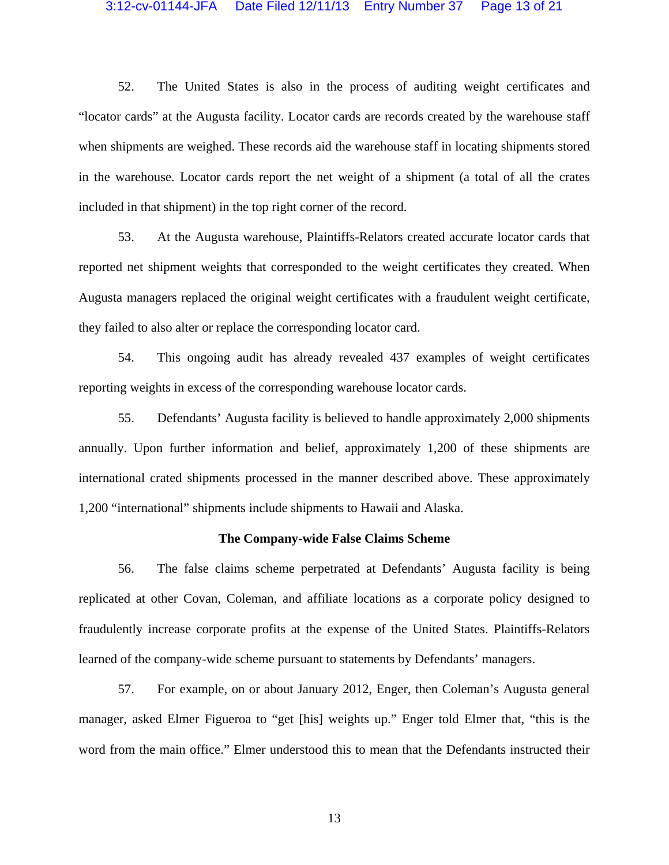# 3:12-cv-01144-JFA Date Filed 12/11/13 Entry Number 37 Page 13 of 21

52. The United States is also in the process of auditing weight certificates and "locator cards" at the Augusta facility. Locator cards are records created by the warehouse staff when shipments are weighed. These records aid the warehouse staff in locating shipments stored in the warehouse. Locator cards report the net weight of a shipment (a total of all the crates included in that shipment) in the top right corner of the record.

53. At the Augusta warehouse, Plaintiffs-Relators created accurate locator cards that reported net shipment weights that corresponded to the weight certificates they created. When Augusta managers replaced the original weight certificates with a fraudulent weight certificate, they failed to also alter or replace the corresponding locator card.

54. This ongoing audit has already revealed 437 examples of weight certificates reporting weights in excess of the corresponding warehouse locator cards.

55. Defendants' Augusta facility is believed to handle approximately 2,000 shipments annually. Upon further information and belief, approximately 1,200 of these shipments are international crated shipments processed in the manner described above. These approximately 1,200 "international" shipments include shipments to Hawaii and Alaska.

#### **The Company-wide False Claims Scheme**

56. The false claims scheme perpetrated at Defendants' Augusta facility is being replicated at other Covan, Coleman, and affiliate locations as a corporate policy designed to fraudulently increase corporate profits at the expense of the United States. Plaintiffs-Relators learned of the company-wide scheme pursuant to statements by Defendants' managers.

57. For example, on or about January 2012, Enger, then Coleman's Augusta general manager, asked Elmer Figueroa to "get [his] weights up." Enger told Elmer that, "this is the word from the main office." Elmer understood this to mean that the Defendants instructed their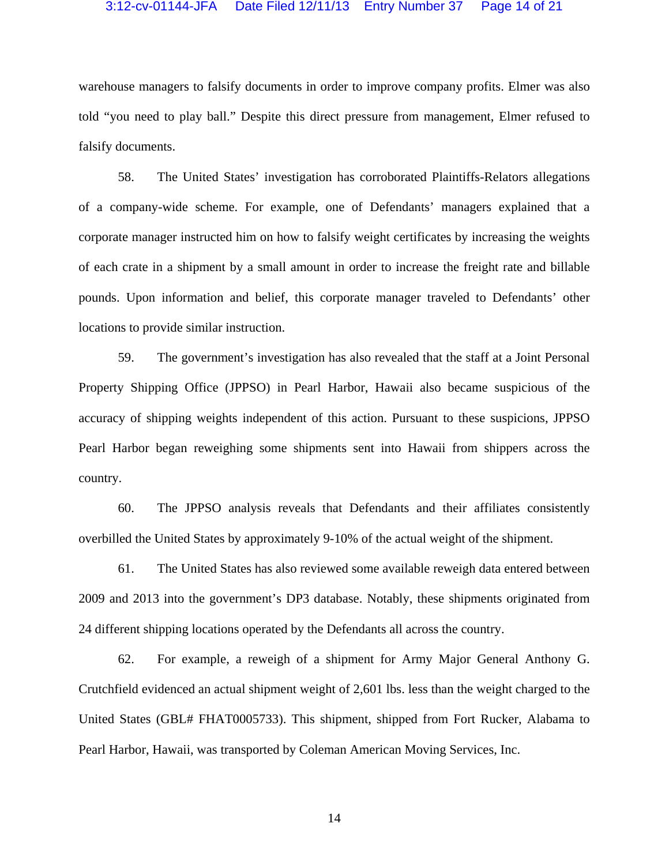### 3:12-cv-01144-JFA Date Filed 12/11/13 Entry Number 37 Page 14 of 21

warehouse managers to falsify documents in order to improve company profits. Elmer was also told "you need to play ball." Despite this direct pressure from management, Elmer refused to falsify documents.

58. The United States' investigation has corroborated Plaintiffs-Relators allegations of a company-wide scheme. For example, one of Defendants' managers explained that a corporate manager instructed him on how to falsify weight certificates by increasing the weights of each crate in a shipment by a small amount in order to increase the freight rate and billable pounds. Upon information and belief, this corporate manager traveled to Defendants' other locations to provide similar instruction.

59. The government's investigation has also revealed that the staff at a Joint Personal Property Shipping Office (JPPSO) in Pearl Harbor, Hawaii also became suspicious of the accuracy of shipping weights independent of this action. Pursuant to these suspicions, JPPSO Pearl Harbor began reweighing some shipments sent into Hawaii from shippers across the country.

60. The JPPSO analysis reveals that Defendants and their affiliates consistently overbilled the United States by approximately 9-10% of the actual weight of the shipment.

61. The United States has also reviewed some available reweigh data entered between 2009 and 2013 into the government's DP3 database. Notably, these shipments originated from 24 different shipping locations operated by the Defendants all across the country.

62. For example, a reweigh of a shipment for Army Major General Anthony G. Crutchfield evidenced an actual shipment weight of 2,601 lbs. less than the weight charged to the United States (GBL# FHAT0005733). This shipment, shipped from Fort Rucker, Alabama to Pearl Harbor, Hawaii, was transported by Coleman American Moving Services, Inc.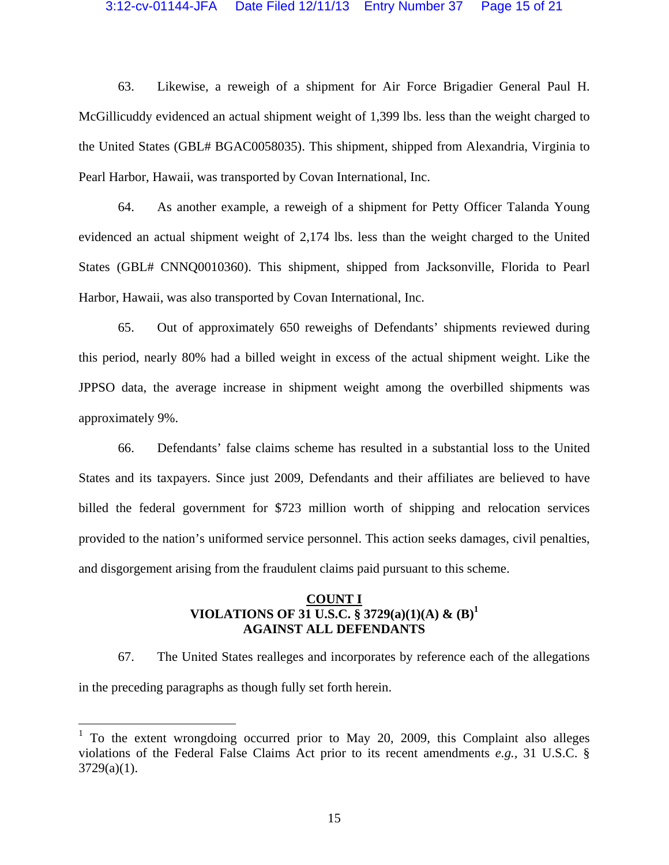#### 3:12-cv-01144-JFA Date Filed 12/11/13 Entry Number 37 Page 15 of 21

63. Likewise, a reweigh of a shipment for Air Force Brigadier General Paul H. McGillicuddy evidenced an actual shipment weight of 1,399 lbs. less than the weight charged to the United States (GBL# BGAC0058035). This shipment, shipped from Alexandria, Virginia to Pearl Harbor, Hawaii, was transported by Covan International, Inc.

64. As another example, a reweigh of a shipment for Petty Officer Talanda Young evidenced an actual shipment weight of 2,174 lbs. less than the weight charged to the United States (GBL# CNNQ0010360). This shipment, shipped from Jacksonville, Florida to Pearl Harbor, Hawaii, was also transported by Covan International, Inc.

65. Out of approximately 650 reweighs of Defendants' shipments reviewed during this period, nearly 80% had a billed weight in excess of the actual shipment weight. Like the JPPSO data, the average increase in shipment weight among the overbilled shipments was approximately 9%.

66. Defendants' false claims scheme has resulted in a substantial loss to the United States and its taxpayers. Since just 2009, Defendants and their affiliates are believed to have billed the federal government for \$723 million worth of shipping and relocation services provided to the nation's uniformed service personnel. This action seeks damages, civil penalties, and disgorgement arising from the fraudulent claims paid pursuant to this scheme.

# **COUNT I VIOLATIONS OF 31 U.S.C. § 3729(a)(1)(A) & (B)1 AGAINST ALL DEFENDANTS**

67. The United States realleges and incorporates by reference each of the allegations in the preceding paragraphs as though fully set forth herein.

 $\overline{a}$ 

<sup>&</sup>lt;sup>1</sup> To the extent wrongdoing occurred prior to May 20, 2009, this Complaint also alleges violations of the Federal False Claims Act prior to its recent amendments *e.g.,* 31 U.S.C. § 3729(a)(1).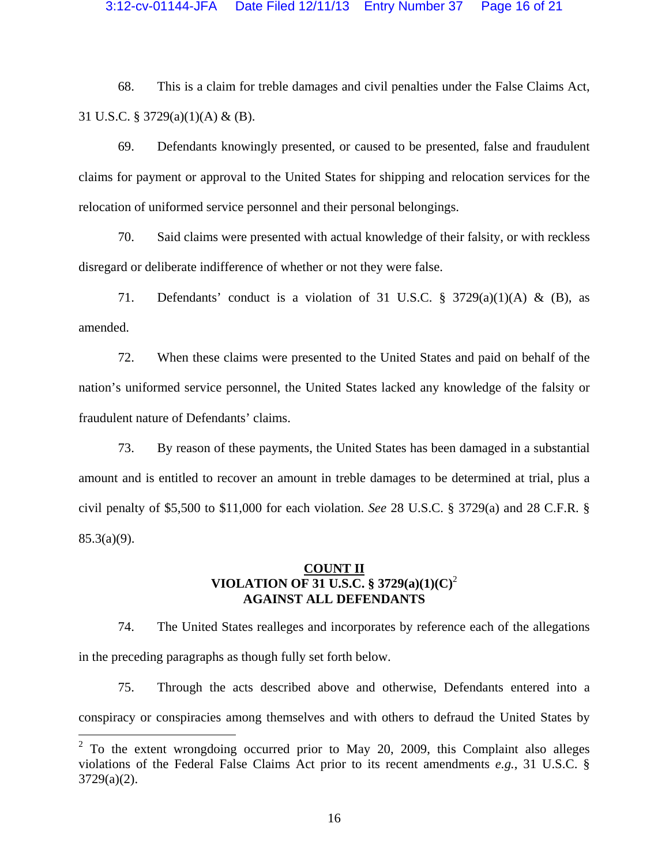#### 3:12-cv-01144-JFA Date Filed 12/11/13 Entry Number 37 Page 16 of 21

68. This is a claim for treble damages and civil penalties under the False Claims Act, 31 U.S.C.  $\S$  3729(a)(1)(A) & (B).

69. Defendants knowingly presented, or caused to be presented, false and fraudulent claims for payment or approval to the United States for shipping and relocation services for the relocation of uniformed service personnel and their personal belongings.

70. Said claims were presented with actual knowledge of their falsity, or with reckless disregard or deliberate indifference of whether or not they were false.

71. Defendants' conduct is a violation of 31 U.S.C.  $\S$  3729(a)(1)(A) & (B), as amended.

72. When these claims were presented to the United States and paid on behalf of the nation's uniformed service personnel, the United States lacked any knowledge of the falsity or fraudulent nature of Defendants' claims.

73. By reason of these payments, the United States has been damaged in a substantial amount and is entitled to recover an amount in treble damages to be determined at trial, plus a civil penalty of \$5,500 to \$11,000 for each violation. *See* 28 U.S.C. § 3729(a) and 28 C.F.R. §  $85.3(a)(9)$ .

# **COUNT II VIOLATION OF 31 U.S.C. § 3729(a)(1)(C)**<sup>2</sup> **AGAINST ALL DEFENDANTS**

74. The United States realleges and incorporates by reference each of the allegations in the preceding paragraphs as though fully set forth below.

75. Through the acts described above and otherwise, Defendants entered into a conspiracy or conspiracies among themselves and with others to defraud the United States by

 $2^2$  To the extent wrongdoing occurred prior to May 20, 2009, this Complaint also alleges violations of the Federal False Claims Act prior to its recent amendments *e.g.*, 31 U.S.C. § 3729(a)(2).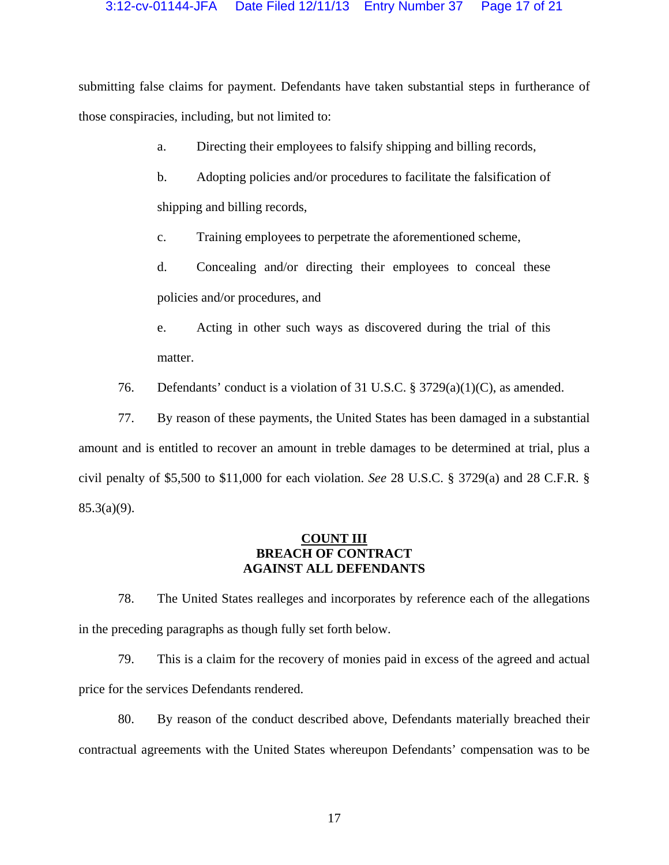submitting false claims for payment. Defendants have taken substantial steps in furtherance of those conspiracies, including, but not limited to:

- a. Directing their employees to falsify shipping and billing records,
- b. Adopting policies and/or procedures to facilitate the falsification of shipping and billing records,
- c. Training employees to perpetrate the aforementioned scheme,
- d. Concealing and/or directing their employees to conceal these policies and/or procedures, and
- e. Acting in other such ways as discovered during the trial of this matter.
- 76. Defendants' conduct is a violation of 31 U.S.C. § 3729(a)(1)(C), as amended.

77. By reason of these payments, the United States has been damaged in a substantial amount and is entitled to recover an amount in treble damages to be determined at trial, plus a civil penalty of \$5,500 to \$11,000 for each violation. *See* 28 U.S.C. § 3729(a) and 28 C.F.R. § 85.3(a)(9).

# **COUNT III BREACH OF CONTRACT AGAINST ALL DEFENDANTS**

78. The United States realleges and incorporates by reference each of the allegations in the preceding paragraphs as though fully set forth below.

79. This is a claim for the recovery of monies paid in excess of the agreed and actual price for the services Defendants rendered.

80. By reason of the conduct described above, Defendants materially breached their contractual agreements with the United States whereupon Defendants' compensation was to be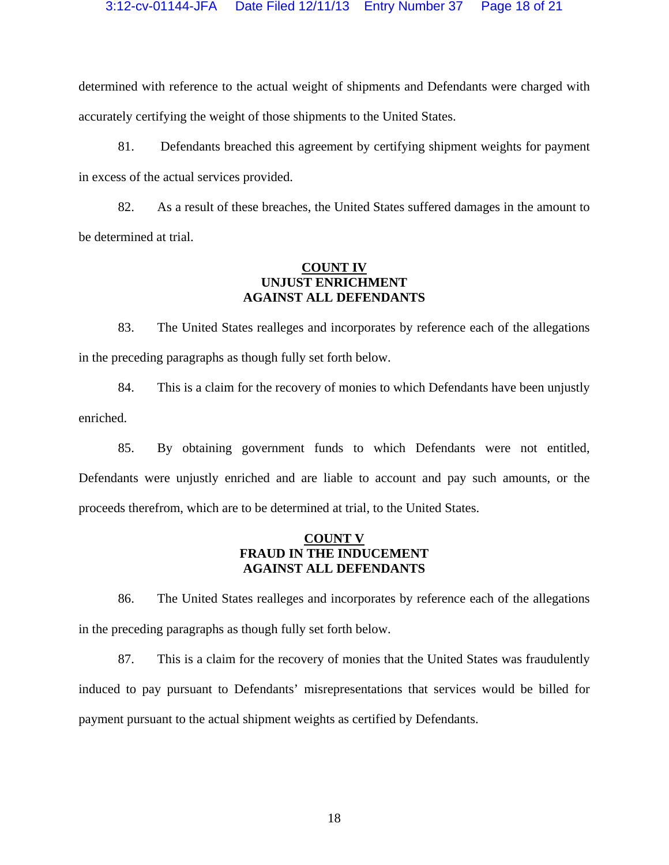determined with reference to the actual weight of shipments and Defendants were charged with accurately certifying the weight of those shipments to the United States.

81. Defendants breached this agreement by certifying shipment weights for payment in excess of the actual services provided.

82. As a result of these breaches, the United States suffered damages in the amount to be determined at trial.

# **COUNT IV UNJUST ENRICHMENT AGAINST ALL DEFENDANTS**

83. The United States realleges and incorporates by reference each of the allegations in the preceding paragraphs as though fully set forth below.

84. This is a claim for the recovery of monies to which Defendants have been unjustly enriched.

85. By obtaining government funds to which Defendants were not entitled, Defendants were unjustly enriched and are liable to account and pay such amounts, or the proceeds therefrom, which are to be determined at trial, to the United States.

# **COUNT V FRAUD IN THE INDUCEMENT AGAINST ALL DEFENDANTS**

86. The United States realleges and incorporates by reference each of the allegations in the preceding paragraphs as though fully set forth below.

87. This is a claim for the recovery of monies that the United States was fraudulently induced to pay pursuant to Defendants' misrepresentations that services would be billed for payment pursuant to the actual shipment weights as certified by Defendants.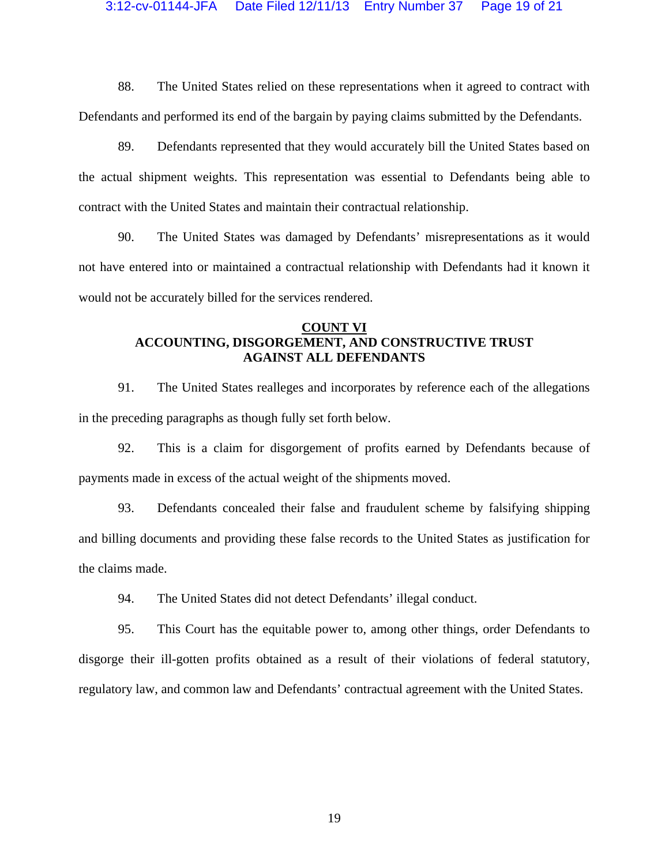# 3:12-cv-01144-JFA Date Filed 12/11/13 Entry Number 37 Page 19 of 21

88. The United States relied on these representations when it agreed to contract with Defendants and performed its end of the bargain by paying claims submitted by the Defendants.

89. Defendants represented that they would accurately bill the United States based on the actual shipment weights. This representation was essential to Defendants being able to contract with the United States and maintain their contractual relationship.

90. The United States was damaged by Defendants' misrepresentations as it would not have entered into or maintained a contractual relationship with Defendants had it known it would not be accurately billed for the services rendered.

# **COUNT VI ACCOUNTING, DISGORGEMENT, AND CONSTRUCTIVE TRUST AGAINST ALL DEFENDANTS**

91. The United States realleges and incorporates by reference each of the allegations in the preceding paragraphs as though fully set forth below.

92. This is a claim for disgorgement of profits earned by Defendants because of payments made in excess of the actual weight of the shipments moved.

93. Defendants concealed their false and fraudulent scheme by falsifying shipping and billing documents and providing these false records to the United States as justification for the claims made.

94. The United States did not detect Defendants' illegal conduct.

95. This Court has the equitable power to, among other things, order Defendants to disgorge their ill-gotten profits obtained as a result of their violations of federal statutory, regulatory law, and common law and Defendants' contractual agreement with the United States.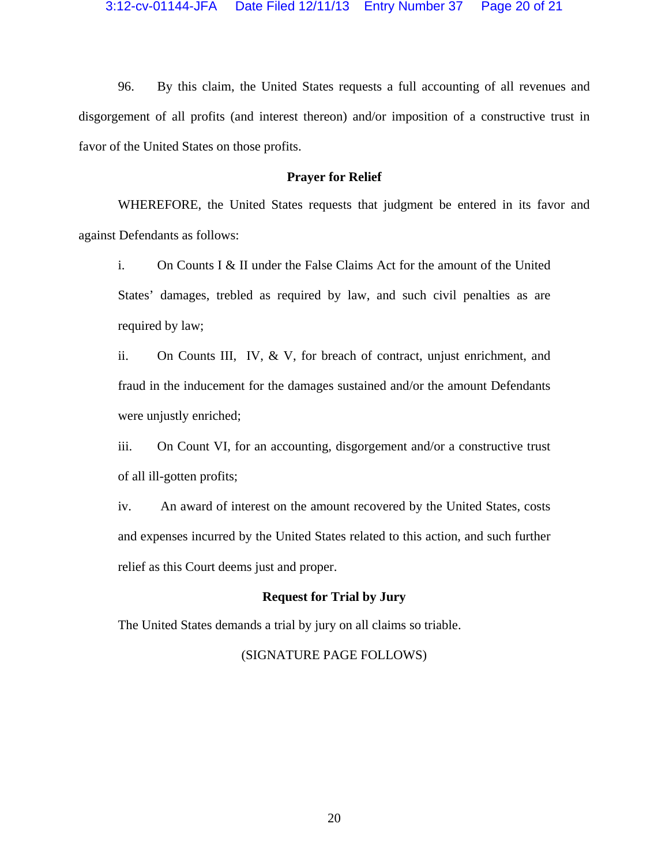96. By this claim, the United States requests a full accounting of all revenues and disgorgement of all profits (and interest thereon) and/or imposition of a constructive trust in favor of the United States on those profits.

## **Prayer for Relief**

WHEREFORE, the United States requests that judgment be entered in its favor and against Defendants as follows:

i. On Counts I & II under the False Claims Act for the amount of the United States' damages, trebled as required by law, and such civil penalties as are required by law;

ii. On Counts III, IV, & V, for breach of contract, unjust enrichment, and fraud in the inducement for the damages sustained and/or the amount Defendants were unjustly enriched;

iii. On Count VI, for an accounting, disgorgement and/or a constructive trust of all ill-gotten profits;

iv. An award of interest on the amount recovered by the United States, costs and expenses incurred by the United States related to this action, and such further relief as this Court deems just and proper.

### **Request for Trial by Jury**

The United States demands a trial by jury on all claims so triable.

# (SIGNATURE PAGE FOLLOWS)